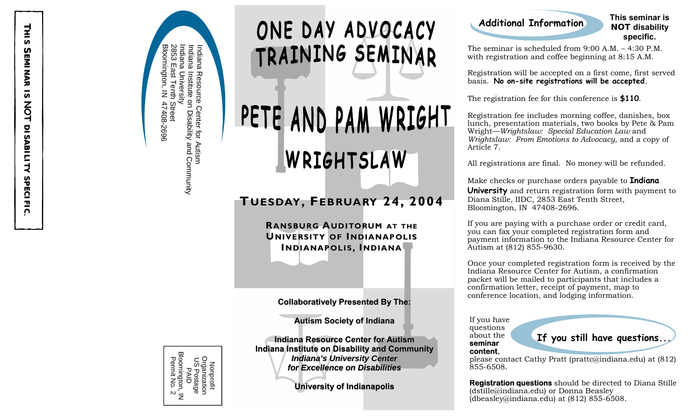ၜ<br>ၜ 2853 Ind Ind Indiana om ai ai  $\Xi$ na East ∃. gton, g Institute Resource Tenth vi ersity  $\bar{z}$ 47408-2696 s Street 47408-2696 င္<br>၁ Disability  $\vec{\mathbb{\sigma}}$ r<br>q Autis and Community  $\exists$ 

## ONE DAY ADVOCACY TRAINING SEMINAR

# PETE AND PAM WRIGHT WRIGHTSLAW

#### **T UESDAY, FEBRUARY EBRUARY 24, 2004 24, 2004**

**RANSBURG ANSBURG A UDITORUM AT THE UNIVERSITY OF INDIANAPOLIS I NDIANAPOLIS NDIANAPOLIS, I NDIANA**

#### **Collaboratively Presented By The: Collaboratively Presented The:**

**Autism Society of Indiana Autism Society Autism Society of Indiana**

| Bloomington,<br>Permit No. 2<br>Organization<br>US Postage<br>Nonprofit<br>フィーフ<br>.<br>7 |
|-------------------------------------------------------------------------------------------|

**Indiana Resource Center for Autism Indiana Institute on Disability and Community on Disa Indiana Institute on Disability and Communitybility Community Indiana's University Center** *for Excellence on Disabilities Excellence on Disabilities*

**University of Indianapolis** 

#### **Additional Information**

#### **This seminar is NOT disability specific.**

The seminar is scheduled from  $9:00 \text{ A.M.} - 4:30 \text{ P.M.}$ with registration and coffee beginning at 8:15 A.M.

Registration will be accepted on a first come, first served basis. **No on-site registrations will be accepted.**

The registration fee for this conference is **\$110**.

Registration fee includes morning coffee, danishes, box lunch, presentation materials, two books by Pete & Pam Wright—*Wrightslaw: Special Education Law* and *Wrightslaw: From Emotions to Advocacy*, and a copy of Article 7.

All registrations are final. No money will be refunded.

Make checks or purchase orders payable to **Indiana University** and return registration form with payment to Diana Stille, IIDC, 2853 East Tenth Street, Bloomington, IN 47408-2696.

If you are paying with a purchase order or credit card, you can fax your completed registration form and payment information to the Indiana Resource Center for Autism at (812) 855-9630.

Once your completed registration form is received by the Indiana Resource Center for Autism, a confirmation packet will be mailed to participants that includes a confirmation letter, receipt of payment, map to conference location, and lodging information.

If you have questions about the **seminar content**,

**If you still have questions...** 

please contact Cathy Pratt (prattc@indiana.edu) at (812) 855-6508.

**Registration questions** should be directed to Diana Stille (dstille@indiana.edu) or Donna Beasley (dbeasley@indiana.edu) at (812) 855-6508.